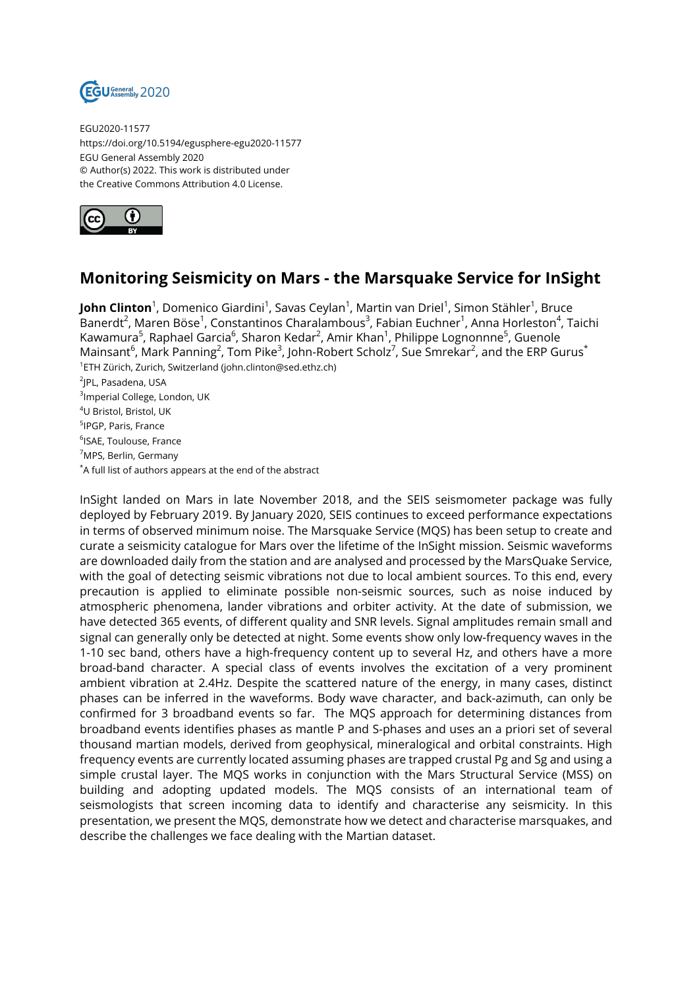

EGU2020-11577 https://doi.org/10.5194/egusphere-egu2020-11577 EGU General Assembly 2020 © Author(s) 2022. This work is distributed under the Creative Commons Attribution 4.0 License.



## **Monitoring Seismicity on Mars - the Marsquake Service for InSight**

**John Clinton**<sup>1</sup>, Domenico Giardini<sup>1</sup>, Savas Ceylan<sup>1</sup>, Martin van Driel<sup>1</sup>, Simon Stähler<sup>1</sup>, Bruce Banerdt<sup>2</sup>, Maren Böse<sup>1</sup>, Constantinos Charalambous<sup>3</sup>, Fabian Euchner<sup>1</sup>, Anna Horleston<sup>4</sup>, Taichi Kawamura<sup>5</sup>, Raphael Garcia<sup>6</sup>, Sharon Kedar<sup>2</sup>, Amir Khan<sup>1</sup>, Philippe Lognonnne<sup>5</sup>, Guenole Mainsant $^6$ , Mark Panning $^2$ , Tom Pike $^3$ , John-Robert Scholz $^7$ , Sue Smrekar $^2$ , and the ERP Gurus $^{\ast}$ 1 ETH Zürich, Zurich, Switzerland (john.clinton@sed.ethz.ch)

<sup>2</sup>JPL, Pasadena, USA <sup>3</sup>Imperial College, London, UK <sup>4</sup>U Bristol, Bristol, UK 5 IPGP, Paris, France <sup>6</sup>ISAE, Toulouse, France <sup>7</sup>MPS, Berlin, Germany \*A full list of authors appears at the end of the abstract

InSight landed on Mars in late November 2018, and the SEIS seismometer package was fully deployed by February 2019. By January 2020, SEIS continues to exceed performance expectations in terms of observed minimum noise. The Marsquake Service (MQS) has been setup to create and curate a seismicity catalogue for Mars over the lifetime of the InSight mission. Seismic waveforms are downloaded daily from the station and are analysed and processed by the MarsQuake Service, with the goal of detecting seismic vibrations not due to local ambient sources. To this end, every precaution is applied to eliminate possible non-seismic sources, such as noise induced by atmospheric phenomena, lander vibrations and orbiter activity. At the date of submission, we have detected 365 events, of different quality and SNR levels. Signal amplitudes remain small and signal can generally only be detected at night. Some events show only low-frequency waves in the 1-10 sec band, others have a high-frequency content up to several Hz, and others have a more broad-band character. A special class of events involves the excitation of a very prominent ambient vibration at 2.4Hz. Despite the scattered nature of the energy, in many cases, distinct phases can be inferred in the waveforms. Body wave character, and back-azimuth, can only be confirmed for 3 broadband events so far. The MQS approach for determining distances from broadband events identifies phases as mantle P and S-phases and uses an a priori set of several thousand martian models, derived from geophysical, mineralogical and orbital constraints. High frequency events are currently located assuming phases are trapped crustal Pg and Sg and using a simple crustal layer. The MQS works in conjunction with the Mars Structural Service (MSS) on building and adopting updated models. The MQS consists of an international team of seismologists that screen incoming data to identify and characterise any seismicity. In this presentation, we present the MQS, demonstrate how we detect and characterise marsquakes, and describe the challenges we face dealing with the Martian dataset.